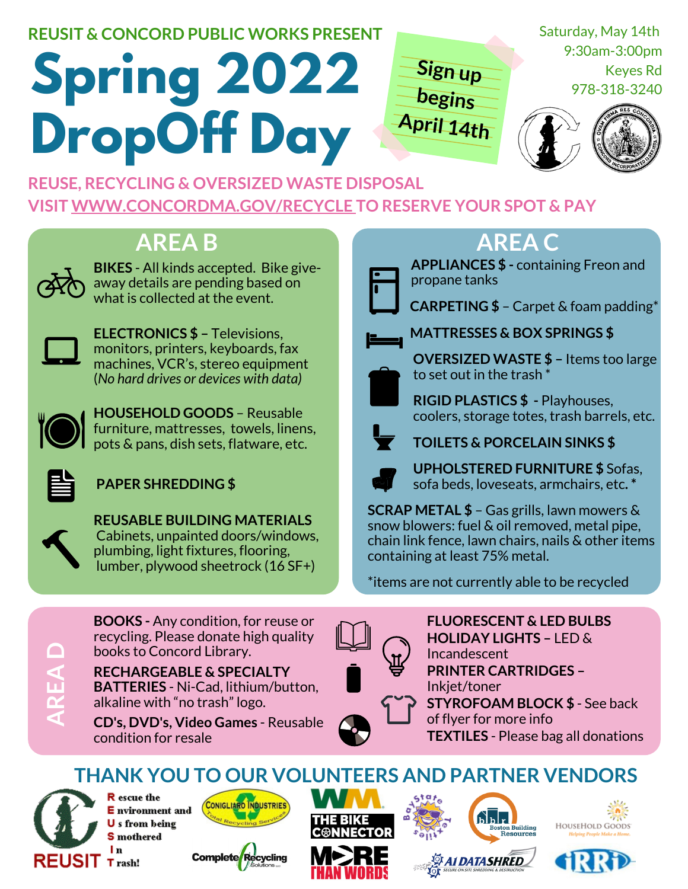#### **REUSIT & CONCORD PUBLIC WORKS PRESENT**

# **Spring 2022 DropOff Day**

Saturday, May 14th 9:30am-3:00pm Keyes Rd 978-318-3240



**REUSE, [RECYCLING](http://www.concordma.gov/recycle) & OVERSIZED WASTE DISPOSAL [VISIT](http://www.concordma.gov/recycle) [WWW.CONCORDMA.GOV/RECYCLE](http://www.concordma.gov/recycle) TO [RESERVE](http://www.concordma.gov/recycle) YOUR SPOT & PAY**

## **AREA B AREA C**



**BIKES** - All kinds accepted. Bike giveaway details are pending based on what is collected at the event.



**ELECTRONICS \$ –** Televisions, monitors, printers, keyboards, fax machines, VCR's, stereo equipment (*No hard drives or devices with data)*



**HOUSEHOLD GOODS** – Reusable furniture, mattresses, towels, linens, pots & pans, dish sets, flatware, etc.



**PAPER SHREDDING \$**



**REUSABLE BUILDING MATERIALS** Cabinets, unpainted doors/windows, plumbing, light fixtures, flooring, lumber, plywood sheetrock (16 SF+)



**BOOKS -** Any condition, for reuse or recycling. Please donate high quality books to Concord Library.

**RECHARGEABLE & SPECIALTY BATTERIES** - Ni-Cad, lithium/button, alkaline with "no trash" logo.

**CD's, DVD's, Video Games** - Reusable condition for resale

**Sign up**

**begins**

**April 14th**

**APPLIANCES \$ -** containing Freon and propane tanks



**CARPETING \$** – Carpet & foam padding\*



**MATTRESSES & BOX SPRINGS \$**



**OVERSIZED WASTE \$ –** Items too large to set out in the trash \*



coolers, storage totes, trash barrels, etc.



**TOILETS & PORCELAIN SINKS \$**

**RIGID PLASTICS \$ -** Playhouses,

**UPHOLSTERED FURNITURE \$** Sofas, sofa beds, loveseats, armchairs, etc**. \***

**SCRAP METAL \$** – Gas grills, lawn mowers & snow blowers: fuel & oil removed, metal pipe, chain link fence, lawn chairs, nails & other items containing at least 75% metal.

\*items are not currently able to be recycled



**TEXTILES** - Please bag all donations **FLUORESCENT & LED BULBS PRINTER CARTRIDGES –** Inkjet/toner **HOLIDAY LIGHTS –** LED & Incandescent **STYROFOAM BLOCK \$** - See back of flyer for more info

**THANK YOU TO OUR VOLUNTEERS AND PARTNER VENDORS**



R escue the **E** nvironment and U s from being **S** mothered l n